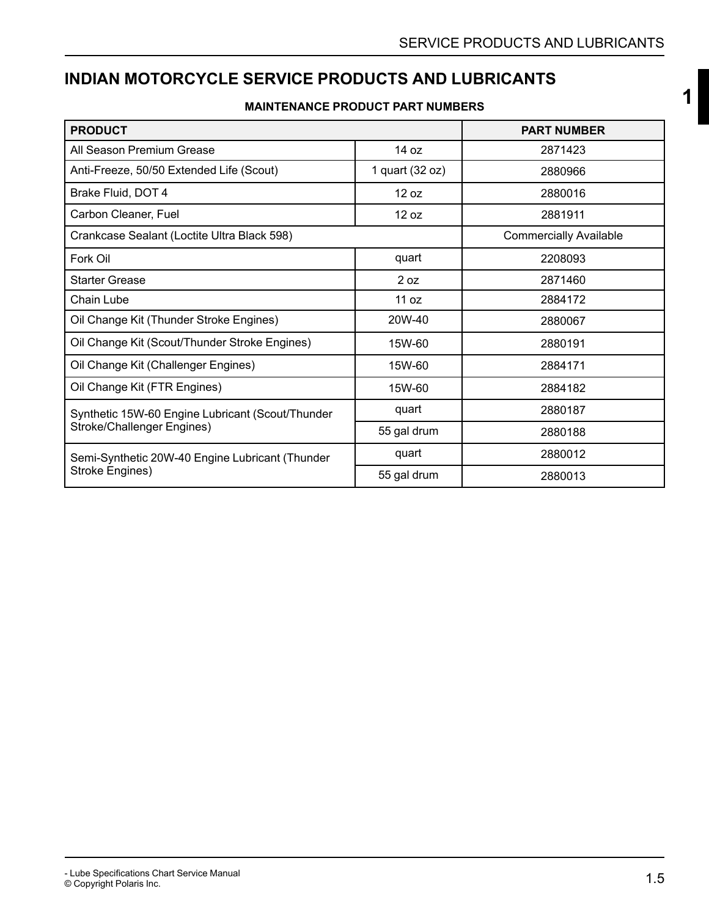**[1](#page--1-0)**

### **INDIAN MOTORCYCLE SERVICE PRODUCTS AND LUBRICANTS**

#### **MAINTENANCE PRODUCT PART NUMBERS**

| <b>PRODUCT</b>                                                                |                 | <b>PART NUMBER</b>            |
|-------------------------------------------------------------------------------|-----------------|-------------------------------|
| All Season Premium Grease                                                     | 14 oz           | 2871423                       |
| Anti-Freeze, 50/50 Extended Life (Scout)                                      | 1 quart (32 oz) | 2880966                       |
| Brake Fluid, DOT 4                                                            | 12 oz           | 2880016                       |
| Carbon Cleaner, Fuel                                                          | 12 oz           | 2881911                       |
| Crankcase Sealant (Loctite Ultra Black 598)                                   |                 | <b>Commercially Available</b> |
| Fork Oil                                                                      | quart           | 2208093                       |
| <b>Starter Grease</b>                                                         | 2 oz            | 2871460                       |
| Chain Lube                                                                    | 11 oz           | 2884172                       |
| Oil Change Kit (Thunder Stroke Engines)                                       | 20W-40          | 2880067                       |
| Oil Change Kit (Scout/Thunder Stroke Engines)                                 | 15W-60          | 2880191                       |
| Oil Change Kit (Challenger Engines)                                           | 15W-60          | 2884171                       |
| Oil Change Kit (FTR Engines)                                                  | 15W-60          | 2884182                       |
| Synthetic 15W-60 Engine Lubricant (Scout/Thunder                              | quart           | 2880187                       |
|                                                                               | 55 gal drum     | 2880188                       |
| Stroke/Challenger Engines)<br>Semi-Synthetic 20W-40 Engine Lubricant (Thunder | quart           | 2880012                       |
| Stroke Engines)                                                               | 55 gal drum     | 2880013                       |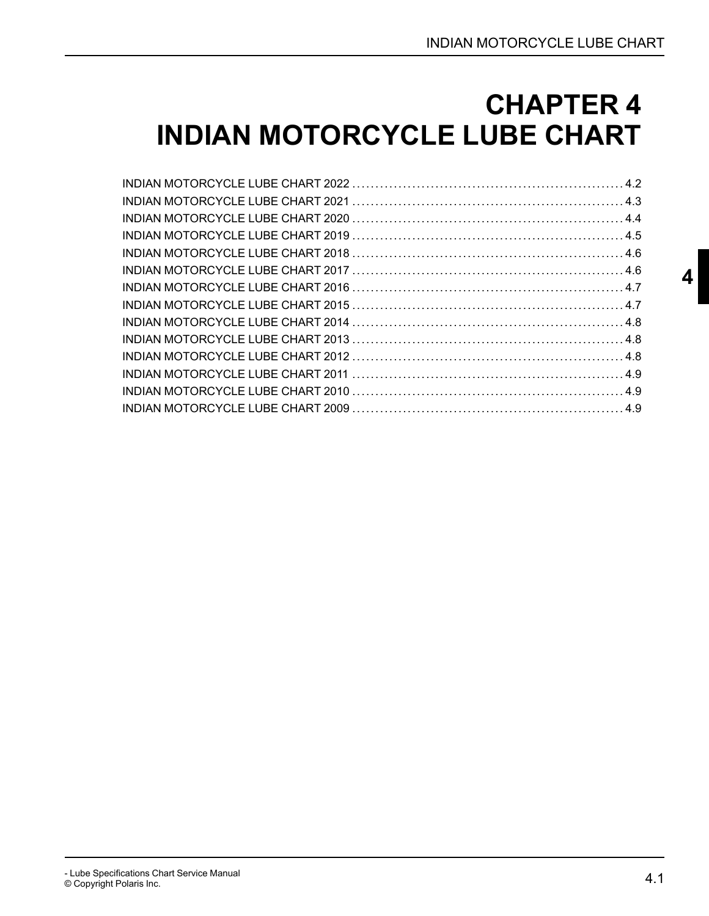# <span id="page-1-0"></span>**CHAPTER 4 INDIAN MOTORCYCLE LUBE CHART**

**[4](#page-1-0)**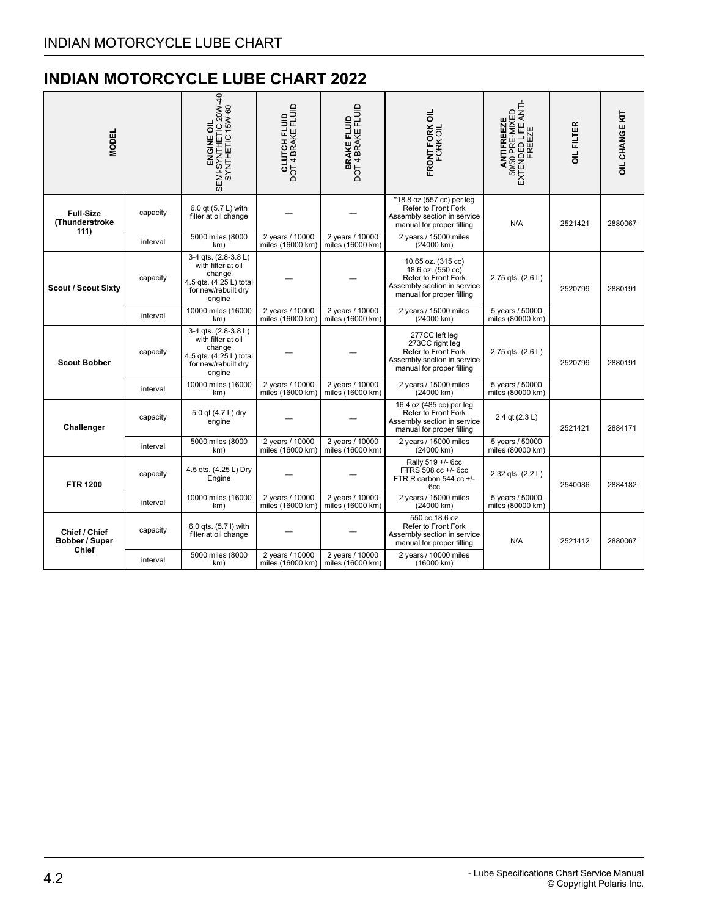<span id="page-2-0"></span>

| <b>MODEL</b>                                    |          | ENGINE OIL<br>SEMI-SYNTHETIC 20W-40<br>SYNTHETIC 15W-60                                                          | <b>BRAKE FLUID</b><br>DOT 4 BRAKE FLUID<br><b>CLUTCH FLUID</b><br>DOT 4 BRAKE FLUID<br>FRONT FORK OIL<br>FORK OIL<br>*18.8 oz (557 cc) per leg |                                     | ANTIFREEZE<br>50/50 PRE-MIXED<br>EXTENDED LIFE ANTI-<br>FREEZE                                                             | OIL FILTER                          | <b>OIL CHANGE KIT</b> |         |
|-------------------------------------------------|----------|------------------------------------------------------------------------------------------------------------------|------------------------------------------------------------------------------------------------------------------------------------------------|-------------------------------------|----------------------------------------------------------------------------------------------------------------------------|-------------------------------------|-----------------------|---------|
| <b>Full-Size</b><br>(Thunderstroke<br>111)      | capacity | 6.0 gt (5.7 L) with<br>filter at oil change                                                                      |                                                                                                                                                |                                     | Refer to Front Fork<br>Assembly section in service<br>manual for proper filling                                            | N/A                                 | 2521421               | 2880067 |
|                                                 | interval | 5000 miles (8000<br>km)                                                                                          | 2 years / 10000<br>miles (16000 km)                                                                                                            | 2 years / 10000<br>miles (16000 km) | 2 years / 15000 miles<br>(24000 km)                                                                                        |                                     |                       |         |
| <b>Scout / Scout Sixty</b>                      | capacity | 3-4 qts. (2.8-3.8 L)<br>with filter at oil<br>change<br>4.5 qts. (4.25 L) total<br>for new/rebuilt dry<br>engine |                                                                                                                                                |                                     | 10.65 oz. (315 cc)<br>18.6 oz. (550 cc)<br>Refer to Front Fork<br>Assembly section in service<br>manual for proper filling | 2.75 qts. (2.6 L)                   | 2520799               | 2880191 |
|                                                 | interval | 10000 miles (16000<br>km)                                                                                        | 2 years / 10000<br>miles (16000 km)                                                                                                            | 2 years / 10000<br>miles (16000 km) | 2 years / 15000 miles<br>(24000 km)                                                                                        | 5 years / 50000<br>miles (80000 km) |                       |         |
| <b>Scout Bobber</b>                             | capacity | 3-4 gts. (2.8-3.8 L)<br>with filter at oil<br>change<br>4.5 qts. (4.25 L) total<br>for new/rebuilt dry<br>engine |                                                                                                                                                |                                     | 277CC left leg<br>273CC right leg<br>Refer to Front Fork<br>Assembly section in service<br>manual for proper filling       | 2.75 qts. (2.6 L)                   | 2520799               | 2880191 |
|                                                 | interval | 10000 miles (16000<br>km)                                                                                        | 2 years / 10000<br>2 years / 10000<br>2 years / 15000 miles<br>(24000 km)<br>miles (16000 km)<br>miles (16000 km)                              |                                     | 5 years / 50000<br>miles (80000 km)                                                                                        |                                     |                       |         |
| Challenger                                      | capacity | 5.0 qt (4.7 L) dry<br>engine                                                                                     |                                                                                                                                                |                                     | 16.4 oz (485 cc) per leg<br>Refer to Front Fork<br>Assembly section in service<br>manual for proper filling                | 2.4 qt (2.3 L)                      | 2521421               | 2884171 |
|                                                 | interval | 5000 miles (8000<br>km)                                                                                          | 2 years / 10000<br>miles (16000 km)                                                                                                            | 2 years / 10000<br>miles (16000 km) | 2 years / 15000 miles<br>(24000 km)                                                                                        | 5 years / 50000<br>miles (80000 km) |                       |         |
| <b>FTR 1200</b>                                 | capacity | 4.5 qts. (4.25 L) Dry<br>Engine                                                                                  |                                                                                                                                                |                                     | Rally 519 +/- 6cc<br>FTRS 508 cc +/- 6cc<br>FTR R carbon 544 cc +/-<br>6cc                                                 | 2.32 qts. (2.2 L)                   | 2540086               | 2884182 |
|                                                 | interval | 10000 miles (16000<br>km)                                                                                        | 2 years / 10000<br>miles (16000 km)                                                                                                            | 2 years / 10000<br>miles (16000 km) | 2 years / 15000 miles<br>(24000 km)                                                                                        | 5 years / 50000<br>miles (80000 km) |                       |         |
| Chief / Chief<br>Bobber / Super<br><b>Chief</b> | capacity | 6.0 qts. (5.7 l) with<br>filter at oil change                                                                    |                                                                                                                                                |                                     | 550 cc 18.6 oz<br>Refer to Front Fork<br>Assembly section in service<br>manual for proper filling                          | N/A                                 | 2521412               | 2880067 |
|                                                 | interval | 5000 miles (8000<br>km)                                                                                          | 2 years / 10000<br>miles (16000 km)                                                                                                            | 2 years / 10000<br>miles (16000 km) | 2 years / 10000 miles<br>(16000 km)                                                                                        |                                     |                       |         |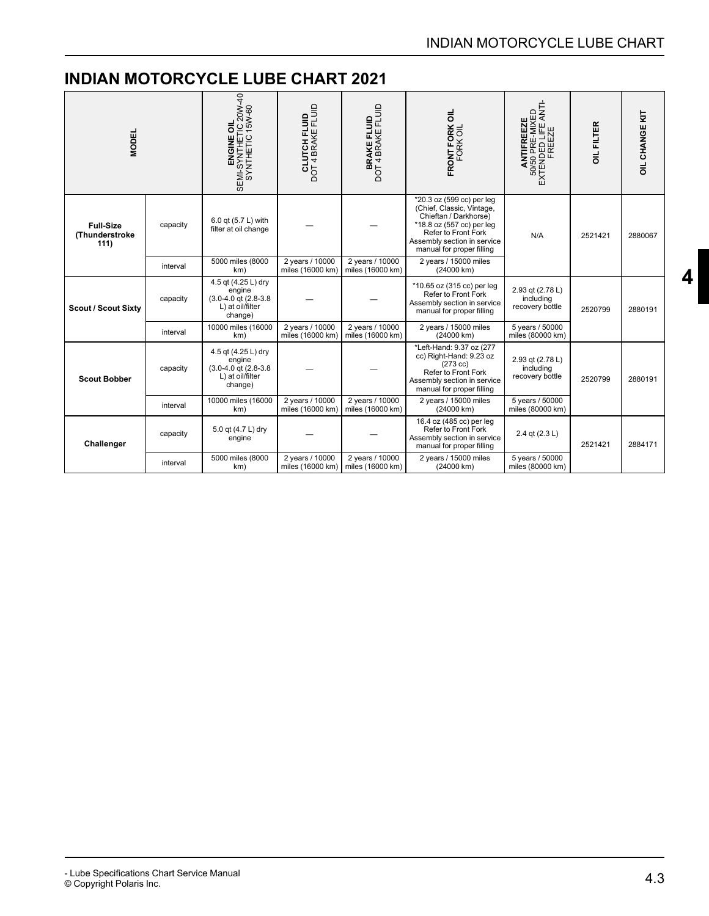<span id="page-3-0"></span>

| <b>MODEL</b>                               |          | ENGINE OIL<br>SEMI-SYNTHETIC 20W-40<br>SYNTHETIC 15W-60<br><b>CLUTCH FLUID</b><br>DOT 4 BRAKE FLUID<br><b>BRAKE FLUID</b><br>DOT 4 BRAKE FLUID |                                                                            | FRONT FORK OIL<br>FORK OIL          | ANTIFREEZE<br>50/50 PRE-MIXED<br>EXTENDED LIFE ANTI-<br>FREEZE                                                                                                                                  | <b>OIL FILTER</b>                                | OIL CHANGE KIT |         |
|--------------------------------------------|----------|------------------------------------------------------------------------------------------------------------------------------------------------|----------------------------------------------------------------------------|-------------------------------------|-------------------------------------------------------------------------------------------------------------------------------------------------------------------------------------------------|--------------------------------------------------|----------------|---------|
| <b>Full-Size</b><br>(Thunderstroke<br>111) | capacity | 6.0 qt (5.7 L) with<br>filter at oil change                                                                                                    |                                                                            |                                     | *20.3 oz (599 cc) per leg<br>(Chief, Classic, Vintage,<br>Chieftan / Darkhorse)<br>*18.8 oz (557 cc) per leg<br>Refer to Front Fork<br>Assembly section in service<br>manual for proper filling | N/A                                              | 2521421        | 2880067 |
|                                            | interval | 5000 miles (8000<br>km)                                                                                                                        | 2 years / 10000<br>2 years / 10000<br>miles (16000 km)<br>miles (16000 km) |                                     | 2 years / 15000 miles<br>(24000 km)                                                                                                                                                             |                                                  |                |         |
| <b>Scout / Scout Sixty</b>                 | capacity | 4.5 qt (4.25 L) dry<br>engine<br>$(3.0 - 4.0$ gt $(2.8 - 3.8)$<br>L) at oil/filter<br>change)                                                  |                                                                            |                                     | *10.65 oz (315 cc) per leg<br>Refer to Front Fork<br>Assembly section in service<br>manual for proper filling                                                                                   | 2.93 qt (2.78 L)<br>including<br>recovery bottle | 2520799        | 2880191 |
|                                            | interval | 10000 miles (16000<br>km)                                                                                                                      | 2 years / 10000<br>miles (16000 km)                                        | 2 years / 10000<br>miles (16000 km) | 2 years / 15000 miles<br>(24000 km)                                                                                                                                                             | 5 years / 50000<br>miles (80000 km)              |                |         |
| <b>Scout Bobber</b>                        | capacity | 4.5 qt (4.25 L) dry<br>engine<br>$(3.0 - 4.0$ gt $(2.8 - 3.8)$<br>L) at oil/filter<br>change)                                                  |                                                                            |                                     | *Left-Hand: 9.37 oz (277<br>cc) Right-Hand: 9.23 oz<br>$(273 \text{ cc})$<br>Refer to Front Fork<br>Assembly section in service<br>manual for proper filling                                    | 2.93 qt (2.78 L)<br>including<br>recovery bottle | 2520799        | 2880191 |
|                                            | interval | 10000 miles (16000<br>km)                                                                                                                      | 2 years / 10000<br>miles (16000 km)                                        | 2 years / 10000<br>miles (16000 km) | 2 years / 15000 miles<br>(24000 km)                                                                                                                                                             | 5 years / 50000<br>miles (80000 km)              |                |         |
| Challenger                                 | capacity | 5.0 qt (4.7 L) dry<br>engine                                                                                                                   |                                                                            |                                     | 16.4 oz (485 cc) per leg<br>Refer to Front Fork<br>Assembly section in service<br>manual for proper filling                                                                                     | 2.4 qt (2.3 L)                                   | 2521421        | 2884171 |
|                                            | interval | 5000 miles (8000<br>km)                                                                                                                        | 2 years / 10000<br>miles (16000 km)                                        | 2 years / 10000<br>miles (16000 km) | 2 years / 15000 miles<br>(24000 km)                                                                                                                                                             | 5 years / 50000<br>miles (80000 km)              |                |         |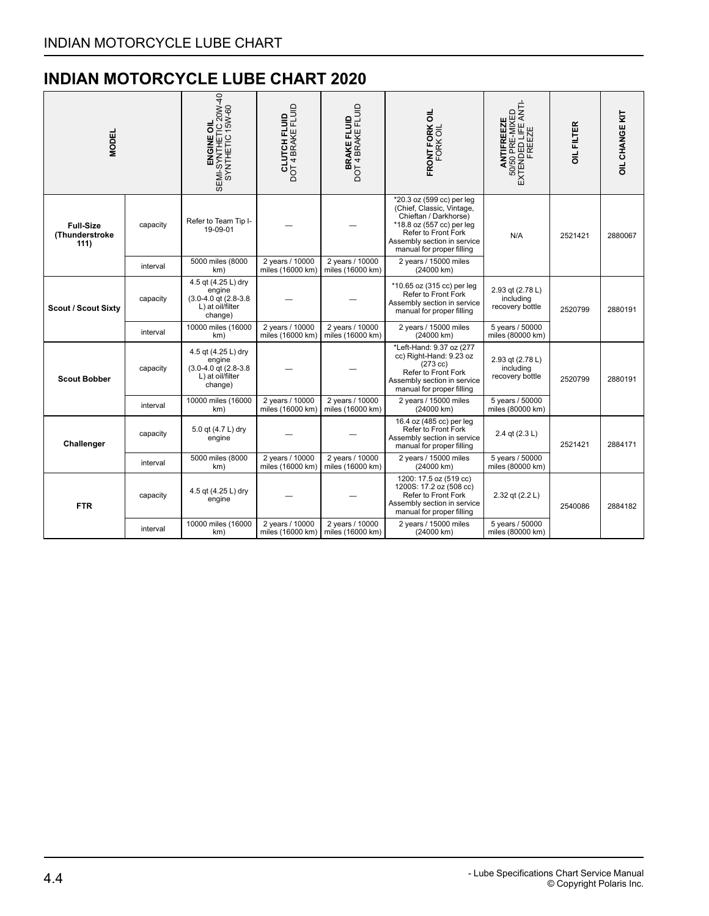<span id="page-4-0"></span>

| <b>MODEL</b>                               | ENGINE OIL<br>SEMI-SYNTHETIC 20W-40<br>SYNTHETIC 15W-60 |                                                                                               | <b>CLUTCH FLUID</b><br>DOT 4 BRAKE FLUID<br><b>BRAKE FLUID</b><br>DOT 4 BRAKE FLUID |                                     | FRONT FORK OIL<br>FORK OIL                                                                                                                                         | ANTIFREEZE<br>50/50 PRE-MIXED<br>EXTENDED LIFE ANTI-<br>FREEZE<br>*20.3 oz (599 cc) per leg |         | OIL CHANGE KIT |
|--------------------------------------------|---------------------------------------------------------|-----------------------------------------------------------------------------------------------|-------------------------------------------------------------------------------------|-------------------------------------|--------------------------------------------------------------------------------------------------------------------------------------------------------------------|---------------------------------------------------------------------------------------------|---------|----------------|
| <b>Full-Size</b><br>(Thunderstroke<br>111) | capacity                                                | Refer to Team Tip I-<br>19-09-01                                                              |                                                                                     |                                     | (Chief, Classic, Vintage,<br>Chieftan / Darkhorse)<br>*18.8 oz (557 cc) per leg<br>Refer to Front Fork<br>Assembly section in service<br>manual for proper filling | N/A                                                                                         | 2521421 | 2880067        |
|                                            | interval                                                | 5000 miles (8000<br>km)                                                                       | 2 years / 10000<br>miles (16000 km)                                                 | 2 years / 10000<br>miles (16000 km) | 2 years / 15000 miles<br>(24000 km)                                                                                                                                |                                                                                             |         |                |
| <b>Scout / Scout Sixty</b>                 | capacity                                                | 4.5 gt (4.25 L) dry<br>engine<br>$(3.0 - 4.0$ gt $(2.8 - 3.8)$<br>L) at oil/filter<br>change) |                                                                                     |                                     | *10.65 oz (315 cc) per leg<br>Refer to Front Fork<br>Assembly section in service<br>manual for proper filling                                                      | 2.93 qt (2.78 L)<br>including<br>recovery bottle                                            | 2520799 | 2880191        |
|                                            | interval                                                | 10000 miles (16000<br>km)                                                                     | 2 years / 10000<br>miles (16000 km)                                                 | 2 years / 10000<br>miles (16000 km) | 2 years / 15000 miles<br>(24000 km)                                                                                                                                | 5 years / 50000<br>miles (80000 km)                                                         |         |                |
| <b>Scout Bobber</b>                        | capacity                                                | 4.5 qt (4.25 L) dry<br>engine<br>$(3.0 - 4.0$ gt $(2.8 - 3.8)$<br>L) at oil/filter<br>change) |                                                                                     |                                     | *Left-Hand: 9.37 oz (277<br>cc) Right-Hand: 9.23 oz<br>$(273 \text{ cc})$<br>Refer to Front Fork<br>Assembly section in service<br>manual for proper filling       | 2.93 qt (2.78 L)<br>including<br>recovery bottle                                            | 2520799 | 2880191        |
|                                            | interval                                                | 10000 miles (16000<br>km)                                                                     | 2 years / 10000<br>miles (16000 km)                                                 | 2 years / 10000<br>miles (16000 km) | 2 years / 15000 miles<br>(24000 km)                                                                                                                                | 5 years / 50000<br>miles (80000 km)                                                         |         |                |
| Challenger                                 | capacity                                                | 5.0 qt (4.7 L) dry<br>engine                                                                  |                                                                                     |                                     | 16.4 oz (485 cc) per leg<br>Refer to Front Fork<br>Assembly section in service<br>manual for proper filling                                                        | 2.4 qt (2.3 L)                                                                              | 2521421 | 2884171        |
|                                            | interval                                                | 5000 miles (8000<br>km)                                                                       | 2 years / 10000<br>miles (16000 km)                                                 | 2 years / 10000<br>miles (16000 km) | 2 years / 15000 miles<br>(24000 km)                                                                                                                                | 5 years / 50000<br>miles (80000 km)                                                         |         |                |
| <b>FTR</b>                                 | capacity                                                | 4.5 qt (4.25 L) dry<br>engine                                                                 |                                                                                     |                                     | 1200: 17.5 oz (519 cc)<br>1200S: 17.2 oz (508 cc)<br>Refer to Front Fork<br>Assembly section in service<br>manual for proper filling                               | 2.32 qt (2.2 L)                                                                             | 2540086 | 2884182        |
|                                            | interval                                                | 10000 miles (16000<br>km)                                                                     | 2 years / 10000<br>miles (16000 km)                                                 | 2 years / 10000<br>miles (16000 km) | 2 years / 15000 miles<br>(24000 km)                                                                                                                                | 5 years / 50000<br>miles (80000 km)                                                         |         |                |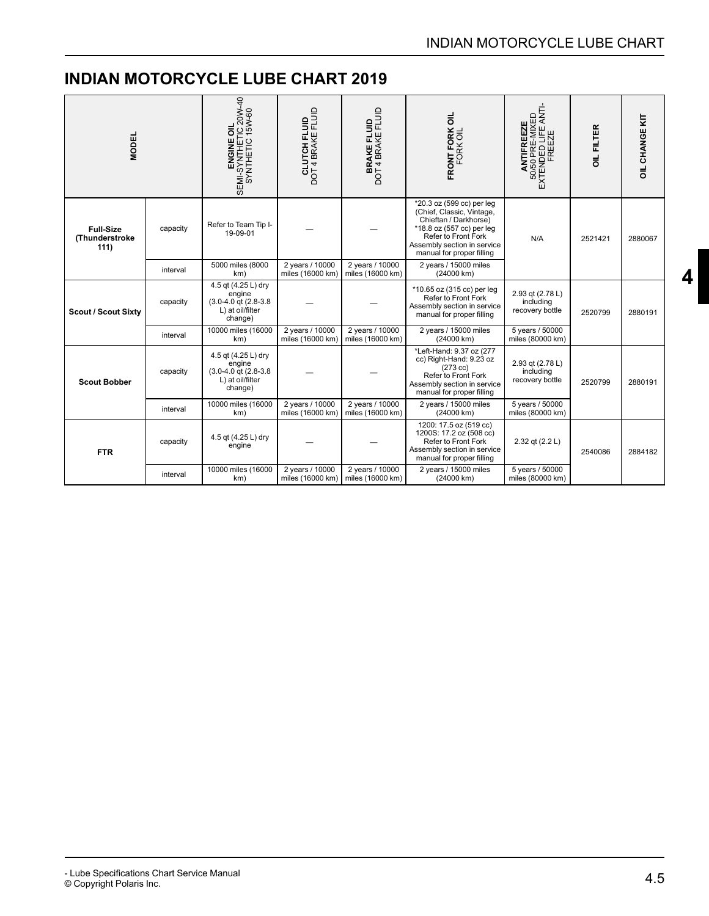<span id="page-5-0"></span>

| <b>MODEL</b>                               |          | ENGINE OIL<br>SEMI-SYNTHETIC 20W-40<br>SYNTHETIC 15W-60                                               | <b>CLUTCH FLUID</b><br>DOT 4 BRAKE FLUID<br><b>BRAKE FLUID</b><br>DOT 4 BRAKE FLUID |                                     | FRONT FORK OIL<br>FORK OIL                                                                                                                                                                      | ANTIFREEZE<br>50/50 PRE-MIXED<br>EXTENDED LIFE ANTI-<br>FREEZE | OIL FILTER | <b>OIL CHANGE KIT</b> |
|--------------------------------------------|----------|-------------------------------------------------------------------------------------------------------|-------------------------------------------------------------------------------------|-------------------------------------|-------------------------------------------------------------------------------------------------------------------------------------------------------------------------------------------------|----------------------------------------------------------------|------------|-----------------------|
| <b>Full-Size</b><br>(Thunderstroke<br>111) | capacity | Refer to Team Tip I-<br>19-09-01                                                                      |                                                                                     |                                     | *20.3 oz (599 cc) per leg<br>(Chief, Classic, Vintage,<br>Chieftan / Darkhorse)<br>*18.8 oz (557 cc) per leg<br>Refer to Front Fork<br>Assembly section in service<br>manual for proper filling | N/A                                                            | 2521421    | 2880067               |
|                                            | interval | 5000 miles (8000<br>2 years / 10000<br>2 years / 10000<br>miles (16000 km)<br>miles (16000 km)<br>km) |                                                                                     | 2 years / 15000 miles<br>(24000 km) |                                                                                                                                                                                                 |                                                                |            |                       |
| <b>Scout / Scout Sixty</b>                 | capacity | 4.5 qt (4.25 L) dry<br>engine<br>(3.0-4.0 qt (2.8-3.8)<br>L) at oil/filter<br>change)                 |                                                                                     |                                     | *10.65 oz (315 cc) per leg<br>Refer to Front Fork<br>Assembly section in service<br>manual for proper filling                                                                                   | 2.93 qt (2.78 L)<br>includina<br>recovery bottle               | 2520799    | 2880191               |
|                                            | interval | 10000 miles (16000<br>km)                                                                             | 2 years / 10000<br>miles (16000 km)                                                 | 2 years / 10000<br>miles (16000 km) | 2 years / 15000 miles<br>(24000 km)                                                                                                                                                             | 5 years / 50000<br>miles (80000 km)                            |            |                       |
| <b>Scout Bobber</b>                        | capacity | 4.5 qt (4.25 L) dry<br>engine<br>$(3.0 - 4.0$ gt $(2.8 - 3.8)$<br>L) at oil/filter<br>change)         |                                                                                     |                                     | *Left-Hand: 9.37 oz (277<br>cc) Right-Hand: 9.23 oz<br>$(273 \text{ cc})$<br>Refer to Front Fork<br>Assembly section in service<br>manual for proper filling                                    | 2.93 qt (2.78 L)<br>including<br>recovery bottle<br>2520799    |            | 2880191               |
|                                            | interval | 10000 miles (16000<br>km)                                                                             | 2 years / 10000<br>miles (16000 km)                                                 | 2 years / 10000<br>miles (16000 km) | 2 years / 15000 miles<br>(24000 km)                                                                                                                                                             | 5 years / 50000<br>miles (80000 km)                            |            |                       |
| <b>FTR</b>                                 | capacity | 4.5 qt (4.25 L) dry<br>engine                                                                         |                                                                                     |                                     | 1200: 17.5 oz (519 cc)<br>1200S: 17.2 oz (508 cc)<br>Refer to Front Fork<br>Assembly section in service<br>manual for proper filling                                                            | 2.32 qt (2.2 L)                                                | 2540086    | 2884182               |
|                                            | interval | 10000 miles (16000<br>km)                                                                             | 2 years / 10000<br>miles (16000 km)                                                 | 2 years / 10000<br>miles (16000 km) | 2 years / 15000 miles<br>(24000 km)                                                                                                                                                             | 5 years / 50000<br>miles (80000 km)                            |            |                       |

**[4](#page-1-0)**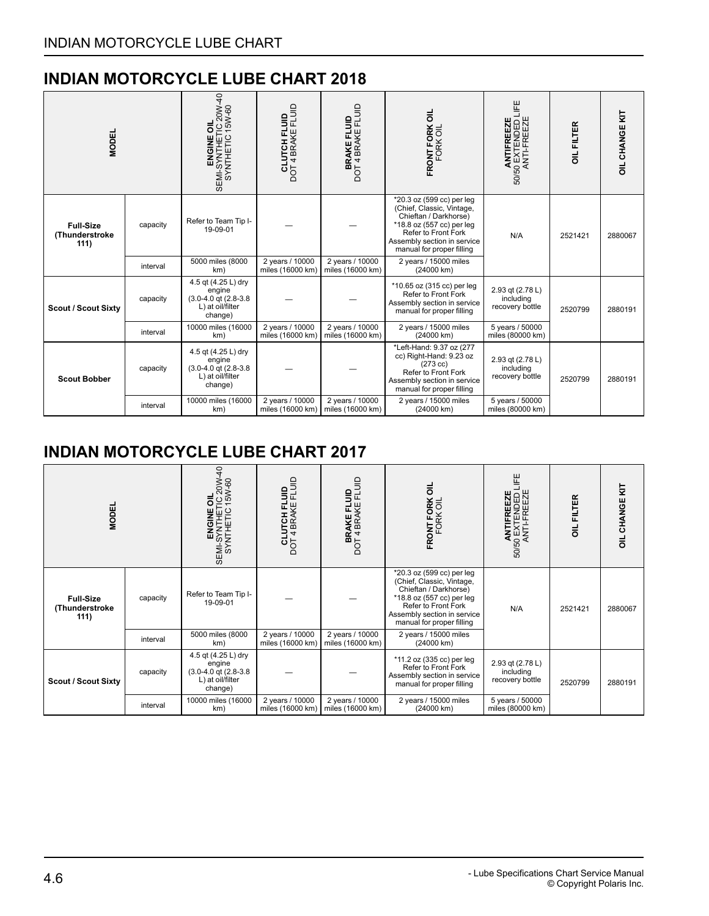<span id="page-6-0"></span>

| <b>MODEL</b>                               |          |                                                                                               | <b>CLUTCH FLUID</b><br>DOT 4 BRAKE FLUID | <b>BRAKE FLUID</b><br>DOT 4 BRAKE FLUID | FRONT FORK OIL<br>FORK OIL                                                                                                                                                                      | Ë<br>50/50 EXTENDED I<br>ANTI-FREEZE<br>ANTIFREEZE | OIL FILTER | <b>OIL CHANGE KIT</b> |
|--------------------------------------------|----------|-----------------------------------------------------------------------------------------------|------------------------------------------|-----------------------------------------|-------------------------------------------------------------------------------------------------------------------------------------------------------------------------------------------------|----------------------------------------------------|------------|-----------------------|
| <b>Full-Size</b><br>(Thunderstroke<br>111) | capacity | Refer to Team Tip I-<br>19-09-01                                                              |                                          |                                         | *20.3 oz (599 cc) per leg<br>(Chief, Classic, Vintage,<br>Chieftan / Darkhorse)<br>*18.8 oz (557 cc) per leg<br>Refer to Front Fork<br>Assembly section in service<br>manual for proper filling | N/A                                                | 2521421    | 2880067               |
|                                            | interval | 5000 miles (8000<br>km)                                                                       | 2 years / 10000<br>miles (16000 km)      | 2 years / 10000<br>miles (16000 km)     | 2 years / 15000 miles<br>(24000 km)                                                                                                                                                             |                                                    |            |                       |
| <b>Scout / Scout Sixty</b>                 | capacity | 4.5 qt (4.25 L) dry<br>engine<br>$(3.0 - 4.0$ gt $(2.8 - 3.8)$<br>L) at oil/filter<br>change) |                                          |                                         | *10.65 oz (315 cc) per leg<br>Refer to Front Fork<br>Assembly section in service<br>manual for proper filling                                                                                   | 2.93 qt (2.78 L)<br>including<br>recovery bottle   | 2520799    | 2880191               |
|                                            | interval | 10000 miles (16000<br>km)                                                                     | 2 years / 10000<br>miles (16000 km)      | 2 years / 10000<br>miles (16000 km)     | 2 years / 15000 miles<br>(24000 km)                                                                                                                                                             | 5 years / 50000<br>miles (80000 km)                |            |                       |
| <b>Scout Bobber</b>                        | capacity | 4.5 gt (4.25 L) dry<br>engine<br>$(3.0 - 4.0$ gt $(2.8 - 3.8)$<br>L) at oil/filter<br>change) |                                          |                                         | *Left-Hand: 9.37 oz (277<br>cc) Right-Hand: 9.23 oz<br>$(273 \text{ cc})$<br>Refer to Front Fork<br>Assembly section in service<br>manual for proper filling                                    | 2.93 qt (2.78 L)<br>including<br>recovery bottle   | 2520799    | 2880191               |
|                                            | interval | 10000 miles (16000<br>km)                                                                     | 2 years / 10000<br>miles (16000 km)      | 2 years / 10000<br>miles (16000 km)     | 2 years / 15000 miles<br>(24000 km)                                                                                                                                                             | 5 years / 50000<br>miles (80000 km)                |            |                       |

<span id="page-6-1"></span>

| <b>MODEL</b>                               |          | ੩<br>OIL<br>TIC 20W-<br>: 15W-60<br>SEMI-SYNTHETIC<br>SEMI-SYNTHETI<br>SEMI-SYNTHETIC         | <b>CLUTCH FLUID</b><br>DOT 4 BRAKE FLUID | <b>BRAKE FLUID</b><br>DOT 4 BRAKE FLUID                | FRONT FORK OIL<br>FORK OIL                                                                                                                                                                      | 푼<br>ANTIFREEZE<br>50 EXTENDED L<br>ANTI-FREEZE<br>50/50 | OIL FILTER | <b>OIL CHANGE KIT</b> |
|--------------------------------------------|----------|-----------------------------------------------------------------------------------------------|------------------------------------------|--------------------------------------------------------|-------------------------------------------------------------------------------------------------------------------------------------------------------------------------------------------------|----------------------------------------------------------|------------|-----------------------|
| <b>Full-Size</b><br>(Thunderstroke<br>111) | capacity | Refer to Team Tip I-<br>19-09-01                                                              |                                          |                                                        | *20.3 oz (599 cc) per leg<br>(Chief, Classic, Vintage,<br>Chieftan / Darkhorse)<br>*18.8 oz (557 cc) per leg<br>Refer to Front Fork<br>Assembly section in service<br>manual for proper filling | N/A                                                      | 2521421    | 2880067               |
|                                            | interval | 5000 miles (8000<br>km)                                                                       | 2 years / 10000<br>miles (16000 km)      | 2 years / 10000<br>miles (16000 km)                    | 2 years / 15000 miles<br>(24000 km)                                                                                                                                                             |                                                          |            |                       |
| <b>Scout / Scout Sixty</b>                 | capacity | 4.5 qt (4.25 L) dry<br>engine<br>$(3.0 - 4.0$ qt $(2.8 - 3.8)$<br>L) at oil/filter<br>change) |                                          |                                                        | *11.2 oz (335 cc) per leg<br>Refer to Front Fork<br>Assembly section in service<br>manual for proper filling                                                                                    | 2.93 qt (2.78 L)<br>including<br>recovery bottle         | 2520799    | 2880191               |
|                                            | interval | 10000 miles (16000<br>km)                                                                     | 2 years / 10000                          | 2 years / 10000<br>miles (16000 km)   miles (16000 km) | 2 years / 15000 miles<br>(24000 km)                                                                                                                                                             | 5 years / 50000<br>miles (80000 km)                      |            |                       |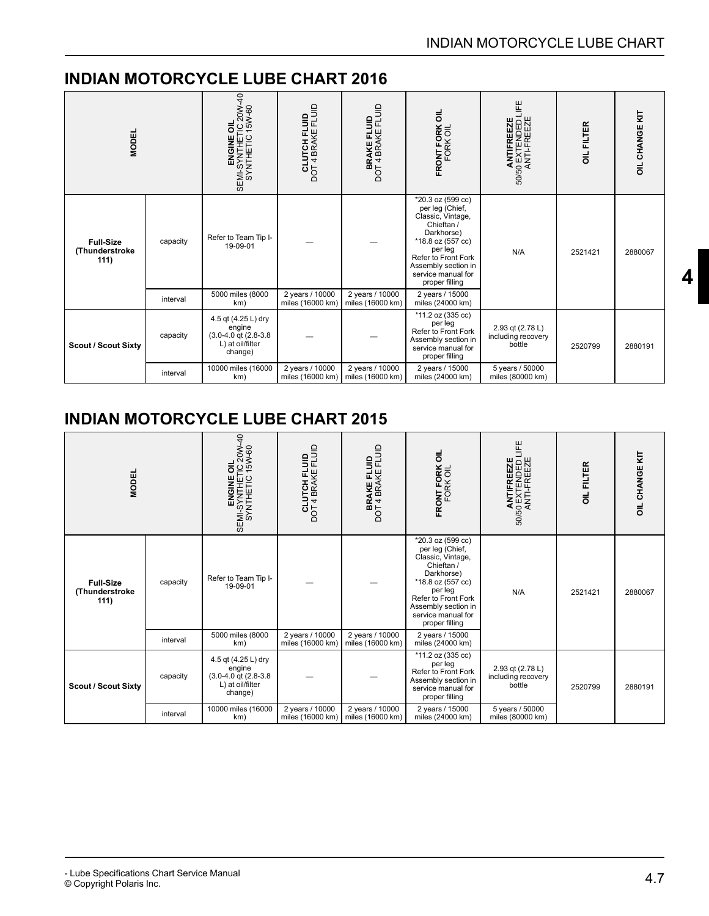<span id="page-7-0"></span>

| <b>MODEL</b>                               |          | ENGINE OIL<br>SEMI-SYNTHETIC 20W-40<br>SYNTHETIC 15W-60                                       | <b>CLUTCH FLUID</b><br>DOT 4 BRAKE FLUID | <b>BRAKE FLUID</b><br>DOT 4 BRAKE FLUID                                                                                                                                | FRONT FORK OIL<br>FORK OIL                                                                                                                                                                                  | ANTIFREEZE<br>50/50 EXTENDED LIFE<br>ANTI-FREEZE | <b>OIL FILTER</b> |         |
|--------------------------------------------|----------|-----------------------------------------------------------------------------------------------|------------------------------------------|------------------------------------------------------------------------------------------------------------------------------------------------------------------------|-------------------------------------------------------------------------------------------------------------------------------------------------------------------------------------------------------------|--------------------------------------------------|-------------------|---------|
| <b>Full-Size</b><br>(Thunderstroke<br>111) | capacity | Refer to Team Tip I-<br>19-09-01                                                              |                                          |                                                                                                                                                                        | *20.3 oz (599 cc)<br>per leg (Chief,<br>Classic, Vintage,<br>Chieftan /<br>Darkhorse)<br>*18.8 oz (557 cc)<br>per leg<br>Refer to Front Fork<br>Assembly section in<br>service manual for<br>proper filling | N/A                                              | 2521421           | 2880067 |
|                                            | interval | 5000 miles (8000<br>km)                                                                       | 2 years / 10000<br>miles (16000 km)      | 2 years / 10000<br>miles (16000 km)                                                                                                                                    | 2 years / 15000<br>miles (24000 km)                                                                                                                                                                         |                                                  |                   |         |
| <b>Scout / Scout Sixty</b>                 | capacity | 4.5 qt (4.25 L) dry<br>engine<br>$(3.0 - 4.0$ qt $(2.8 - 3.8)$<br>L) at oil/filter<br>change) |                                          | *11.2 oz (335 cc)<br>per leg<br>2.93 qt (2.78 L)<br>Refer to Front Fork<br>including recovery<br>Assembly section in<br>bottle<br>service manual for<br>proper filling |                                                                                                                                                                                                             | 2520799                                          | 2880191           |         |
|                                            | interval | 10000 miles (16000<br>km)                                                                     | 2 years / 10000<br>miles (16000 km)      | 2 years / 10000<br>miles (16000 km)                                                                                                                                    | 2 years / 15000<br>miles (24000 km)                                                                                                                                                                         | 5 years / 50000<br>miles (80000 km)              |                   |         |

<span id="page-7-1"></span>

| <b>MODEL</b>                               |          | ENGINE OIL<br>SEMI-SYNTHETIC 20W-40<br>SYNTHETIC 15W-60                                       | <b>CLUTCH FLUID</b><br>DOT 4 BRAKE FLUID | <b>BRAKE FLUID</b><br>DOT 4 BRAKE FLUID | FRONT FORK OIL<br>FORK OIL                                                                                                                                                                                         | ANTIFREEZE<br>50/50 EXTENDED LIFE<br>ANTI-FREEZE | OIL FILTER | <b>OIL CHANGE KIT</b> |
|--------------------------------------------|----------|-----------------------------------------------------------------------------------------------|------------------------------------------|-----------------------------------------|--------------------------------------------------------------------------------------------------------------------------------------------------------------------------------------------------------------------|--------------------------------------------------|------------|-----------------------|
| <b>Full-Size</b><br>(Thunderstroke<br>111) | capacity | Refer to Team Tip I-<br>19-09-01                                                              |                                          |                                         | *20.3 oz (599 cc)<br>per leg (Chief,<br>Classic, Vintage,<br>Chieftan /<br>Darkhorse)<br>*18.8 oz (557 cc)<br>per leg<br><b>Refer to Front Fork</b><br>Assembly section in<br>service manual for<br>proper filling | N/A                                              | 2521421    | 2880067               |
|                                            | interval | 5000 miles (8000<br>km)                                                                       | 2 years / 10000<br>miles (16000 km)      | 2 years / 10000<br>miles (16000 km)     | 2 years / 15000<br>miles (24000 km)                                                                                                                                                                                |                                                  |            |                       |
| <b>Scout / Scout Sixty</b>                 | capacity | 4.5 qt (4.25 L) dry<br>engine<br>$(3.0 - 4.0$ qt $(2.8 - 3.8)$<br>L) at oil/filter<br>change) |                                          |                                         | *11.2 oz (335 cc)<br>per leg<br>Refer to Front Fork<br>Assembly section in<br>service manual for<br>proper filling                                                                                                 | 2.93 qt (2.78 L)<br>including recovery<br>bottle | 2520799    | 2880191               |
|                                            | interval | 10000 miles (16000<br>km)                                                                     | 2 years / 10000<br>miles (16000 km)      | 2 years / 10000<br>miles (16000 km)     | 2 years / 15000<br>miles (24000 km)                                                                                                                                                                                | 5 years / 50000<br>miles (80000 km)              |            |                       |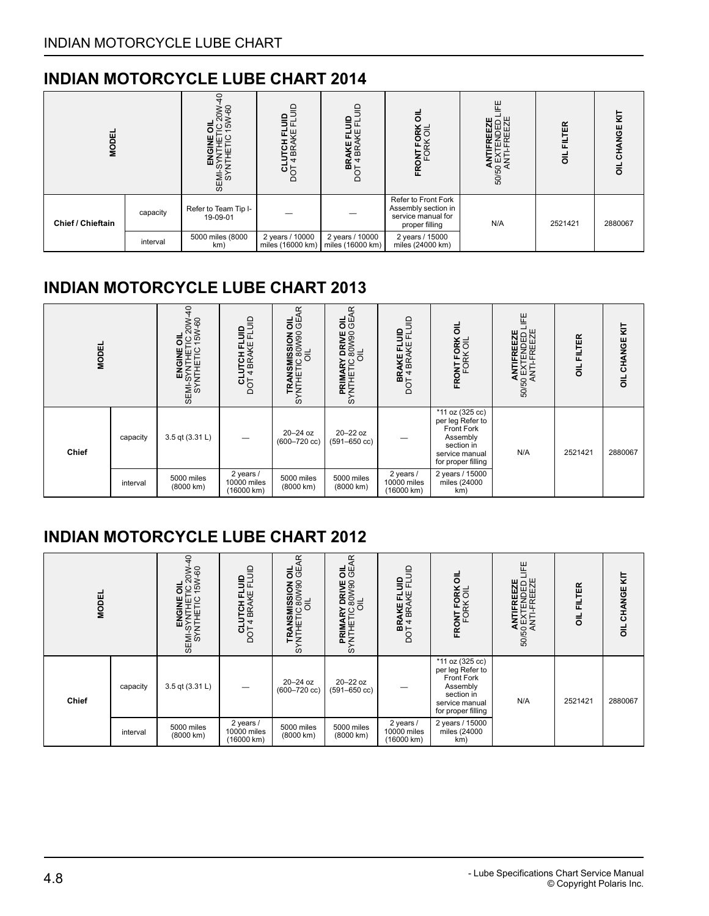<span id="page-8-0"></span>

| <b>MODEL</b>                  |          | $\circ$<br>င္ပ<br>క<br>LO<br>SEMI<br>SY | $\overline{m}$<br>ថក្ក<br>≏         | ≘<br>بب<br>ш<br>BR.<br>$\overline{4}$<br>학<br>$\overline{\phantom{a}}$ | ᄛ<br>ORK<br><이<br><b>DNTF</b><br>FORI<br>Œ                                         | ببر<br>ہ ہی<br><b>AN</b><br>50/50<br>50/50 | ER<br>正<br>ᄛ | ₹<br><b>WGE</b><br>ಕ<br>ᇹ |
|-------------------------------|----------|-----------------------------------------|-------------------------------------|------------------------------------------------------------------------|------------------------------------------------------------------------------------|--------------------------------------------|--------------|---------------------------|
| capacity<br>Chief / Chieftain |          | Refer to Team Tip I-<br>19-09-01        |                                     |                                                                        | Refer to Front Fork<br>Assembly section in<br>service manual for<br>proper filling | N/A                                        |              | 2880067                   |
|                               | interval | 5000 miles (8000<br>km)                 | 2 years / 10000<br>miles (16000 km) | 2 years / 10000<br>miles (16000 km)                                    | 2 years / 15000<br>miles (24000 km)                                                |                                            |              |                           |

### <span id="page-8-1"></span>**INDIAN MOTORCYCLE LUBE CHART 2013**

| <b>MODEL</b> |          | ុ<br>TC 20W-<br>15W-60<br>ᄛ<br>ENGINE<br>SEMI-SYNTHETI<br>SEMI-SYNTHETI | <b>FLUID</b><br>음<br>근<br>ΚË<br>CLUTCH<br>DOT 4 BRAM | Æ<br>유유<br>TRANSMISSION C<br>SYNTHETIC 80W90<br>OIL | <b>Y DRIVE OIL</b><br>C 80W90 GEAR<br>OIL<br>PRIMARY I<br>SYNTHETIC 8 | <b>BRAKE FLUID</b><br>DOT 4 BRAKE FLUID | ᄛ<br>FRONT FORK<br>FORK OIL                                                                                         | 出<br><b>TIFREEZE</b><br>CTENDED L<br>T-FREEZE<br>ANTIFF<br>50/50 EXTE<br>4NTI-FI | FILTER<br>$\overline{5}$ | OIL CHANGE KIT |
|--------------|----------|-------------------------------------------------------------------------|------------------------------------------------------|-----------------------------------------------------|-----------------------------------------------------------------------|-----------------------------------------|---------------------------------------------------------------------------------------------------------------------|----------------------------------------------------------------------------------|--------------------------|----------------|
| Chief        | capacity | 3.5 qt (3.31 L)                                                         |                                                      | 20-24 oz<br>$(600 - 720$ cc)                        | $20 - 22$ oz<br>$(591 - 650$ cc)                                      |                                         | *11 oz (325 cc)<br>per leg Refer to<br>Front Fork<br>Assembly<br>section in<br>service manual<br>for proper filling | N/A                                                                              | 2521421                  | 2880067        |
|              | interval | 5000 miles<br>(8000 km)                                                 | 2 years /<br>10000 miles<br>(16000 km)               | 5000 miles<br>(8000 km)                             | 5000 miles<br>(8000 km)                                               | 2 years /<br>10000 miles<br>(16000 km)  | 2 years / 15000<br>miles (24000<br>km)                                                                              |                                                                                  |                          |                |

<span id="page-8-2"></span>

| <b>MODEL</b> |          | ٩<br><b>OIL</b><br>TC 20W-<br>15W-60<br>L JILELINAS<br>ILEMI-SANIHELI<br>D BINDNB | $\mathsf{u}$<br>CLUTCH FL<br>DOT 4 BRAKE | œ<br>유유<br>NOTE-LIC 80W90<br>SYNTHETIC 80W90<br>OIL OIL | <b>OIL</b><br>GEAR<br>Y DRIVE<br>PRIMARY<br>SYNTHETIC 8 | $\equiv$<br><b>BRAKE FLUID</b><br>DOT 4 BRAKE FLI | ᇹ<br>FRONT FORK 0<br>FORK OIL                                                                                       | ٣<br>ENDED I<br>FREEZE<br>씭<br>ANT<br>S0/50 EX<br>ANTI | FILTER<br>$\overline{5}$ | <b>OIL CHANGE KIT</b> |
|--------------|----------|-----------------------------------------------------------------------------------|------------------------------------------|---------------------------------------------------------|---------------------------------------------------------|---------------------------------------------------|---------------------------------------------------------------------------------------------------------------------|--------------------------------------------------------|--------------------------|-----------------------|
| <b>Chief</b> | capacity | 3.5 qt (3.31 L)                                                                   |                                          | 20-24 oz<br>$(600 - 720$ cc)                            | $20 - 22$ oz<br>$(591 - 650$ cc)                        |                                                   | *11 oz (325 cc)<br>per leg Refer to<br>Front Fork<br>Assembly<br>section in<br>service manual<br>for proper filling | N/A                                                    | 2521421                  | 2880067               |
|              | interval | 5000 miles<br>(8000 km)                                                           | 2 years /<br>10000 miles<br>(16000 km)   | 5000 miles<br>(8000 km)                                 | 5000 miles<br>(8000 km)                                 | 2 years /<br>10000 miles<br>(16000 km)            | 2 years / 15000<br>miles (24000<br>km)                                                                              |                                                        |                          |                       |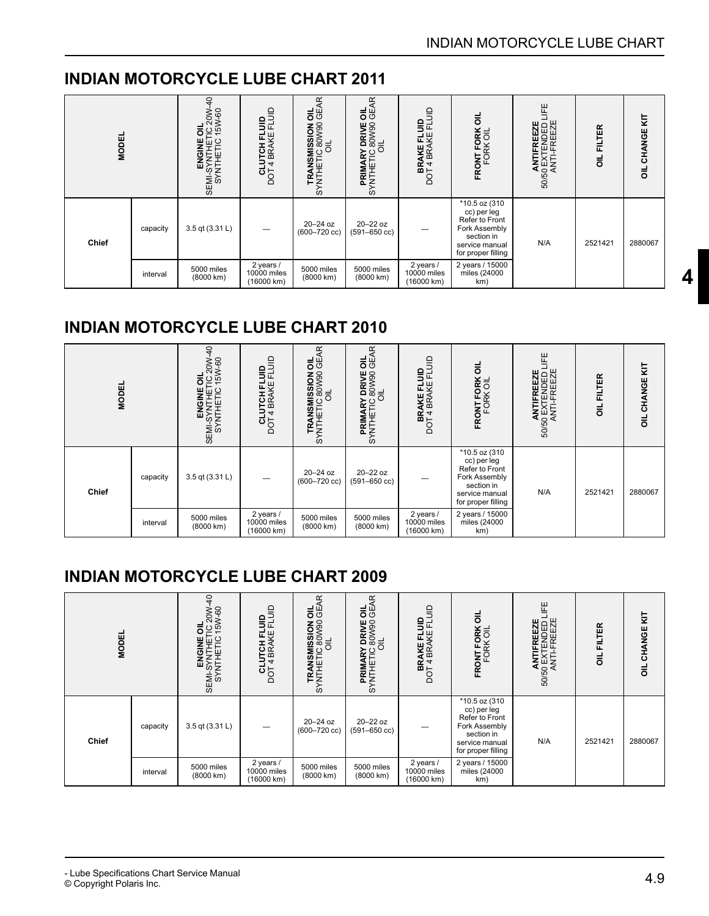| <b>MODEL</b> |          | $\frac{1}{2}$<br>TC 20W-<br>15W-60<br>ᇹ<br>SEMI-SYNTHETIC<br>SEMI-SYNTHETIN<br>SEMI-SYNTHETIC | <b>CLUTCH FLUID</b><br>DOT 4 BRAKE FLUID | 뜻<br>TRANSMISSION OIL<br>SYNTHETIC 80W90 GE<br>OIL | OIL<br>GEAR<br>Y DRIVE<br>SYNTHETIC 8 | $\equiv$<br><b>BRAKE FLUID</b><br>DOT 4 BRAKE FLI | ᄛ<br>FRONT FORK O<br>FORK OIL                                                                                         | 뿐<br>ANTIFREEZE<br>50/50 EXTENDED L<br>ANTI-FREEZE | <b>FILTER</b><br>$\overline{5}$ | OIL CHANGE KIT |
|--------------|----------|-----------------------------------------------------------------------------------------------|------------------------------------------|----------------------------------------------------|---------------------------------------|---------------------------------------------------|-----------------------------------------------------------------------------------------------------------------------|----------------------------------------------------|---------------------------------|----------------|
| <b>Chief</b> | capacity | 3.5 qt (3.31 L)                                                                               |                                          | 20-24 oz<br>$(600 - 720$ cc)                       | 20-22 oz<br>$(591 - 650$ cc)          |                                                   | *10.5 oz (310<br>cc) per leg<br>Refer to Front<br>Fork Assembly<br>section in<br>service manual<br>for proper filling | N/A                                                | 2521421                         | 2880067        |
|              | interval | 5000 miles<br>(8000 km)                                                                       | 2 years /<br>10000 miles<br>(16000 km)   | 5000 miles<br>(8000 km)                            | 5000 miles<br>(8000 km)               | 2 years /<br>10000 miles<br>(16000 km)            | 2 years / 15000<br>miles (24000<br>km)                                                                                |                                                    |                                 |                |

### **INDIAN MOTORCYCLE LUBE CHART 2010**

| <b>MODEL</b> |          | ុ<br>OIL<br>TC 20W-<br>15W-60<br>SEMI-SYNTHETC<br>SEMI-SYNTHET<br>SEMI-SYNTHET | Ξ<br>CLUTCH FLUID<br>DOT 4 BRAKE FLL   | œ<br>유유<br>TRANSMISSION<br>SYNTHETIC 80W90<br>OIL | <b>OIL</b><br>GEAR<br>Y DRIVE<br>PRIMARY<br>SYNTHETIC 8 | $\equiv$<br>용군<br>모头<br>AKE<br>BRA<br>BRA<br>DOT 4 | ᇹ<br>FRONT FORK                                                                                                       | 世<br>TIFREEZE<br>CTENDED L<br>T-FREEZE<br>ANTIF<br>SO/50 EXTE<br>ANTI-F | FILTER<br>$\overline{5}$ | CHANGE KIT<br>$\overline{5}$ |
|--------------|----------|--------------------------------------------------------------------------------|----------------------------------------|---------------------------------------------------|---------------------------------------------------------|----------------------------------------------------|-----------------------------------------------------------------------------------------------------------------------|-------------------------------------------------------------------------|--------------------------|------------------------------|
| Chief        | capacity | 3.5 qt (3.31 L)                                                                |                                        | $20 - 24$ oz<br>$(600 - 720$ cc)                  | 20-22 oz<br>$(591 - 650$ cc)                            |                                                    | *10.5 oz (310<br>cc) per leg<br>Refer to Front<br>Fork Assembly<br>section in<br>service manual<br>for proper filling | N/A                                                                     | 2521421                  | 2880067                      |
|              | interval | 5000 miles<br>(8000 km)                                                        | 2 years /<br>10000 miles<br>(16000 km) | 5000 miles<br>(8000 km)                           | 5000 miles<br>(8000 km)                                 | 2 years /<br>10000 miles<br>(16000 km)             | 2 years / 15000<br>miles (24000<br>km)                                                                                |                                                                         |                          |                              |

### **INDIAN MOTORCYCLE LUBE CHART 2009**

| <b>MODEL</b> |          | $\overline{a}$<br>ENGINE OIL<br>SEMI-SYNTHETIC 20W<br>SYNTHETIC 15W-60 | $\mathsf{S}$<br><b>CLUTCH FLUID</b><br>DOT 4 BRAKE FLU | Æ<br>유유<br>TRANSMISSION<br>SYNTHETIC 80W90<br>OIL | OIL<br>GEAR<br>Y DRIVE<br>SYNTHETIC 8 | $\equiv$<br><b>BRAKE FLUID</b><br>DOT 4 BRAKE FLI | ᄛ<br>FRONT FORK 0<br>FORK OIL                                                                                         | 뿐<br>ANTIFREEZE<br>50/50 EXTENDED L<br>ANTI-FREEZE | FILTER<br>$\overline{5}$ | <b>CHANGE KIT</b><br>$\overline{a}$ |
|--------------|----------|------------------------------------------------------------------------|--------------------------------------------------------|---------------------------------------------------|---------------------------------------|---------------------------------------------------|-----------------------------------------------------------------------------------------------------------------------|----------------------------------------------------|--------------------------|-------------------------------------|
| <b>Chief</b> | capacity | 3.5 qt (3.31 L)                                                        |                                                        | $20 - 24$ oz<br>$(600 - 720$ cc)                  | 20-22 oz<br>$(591 - 650$ cc)          |                                                   | *10.5 oz (310<br>cc) per leg<br>Refer to Front<br>Fork Assembly<br>section in<br>service manual<br>for proper filling | N/A                                                | 2521421                  | 2880067                             |
|              | interval | 5000 miles<br>(8000 km)                                                | 2 years /<br>10000 miles<br>(16000 km)                 | 5000 miles<br>(8000 km)                           | 5000 miles<br>(8000 km)               | 2 years /<br>10000 miles<br>(16000 km)            | 2 years / 15000<br>miles (24000<br>km)                                                                                |                                                    |                          |                                     |

**[4](#page-1-0)**